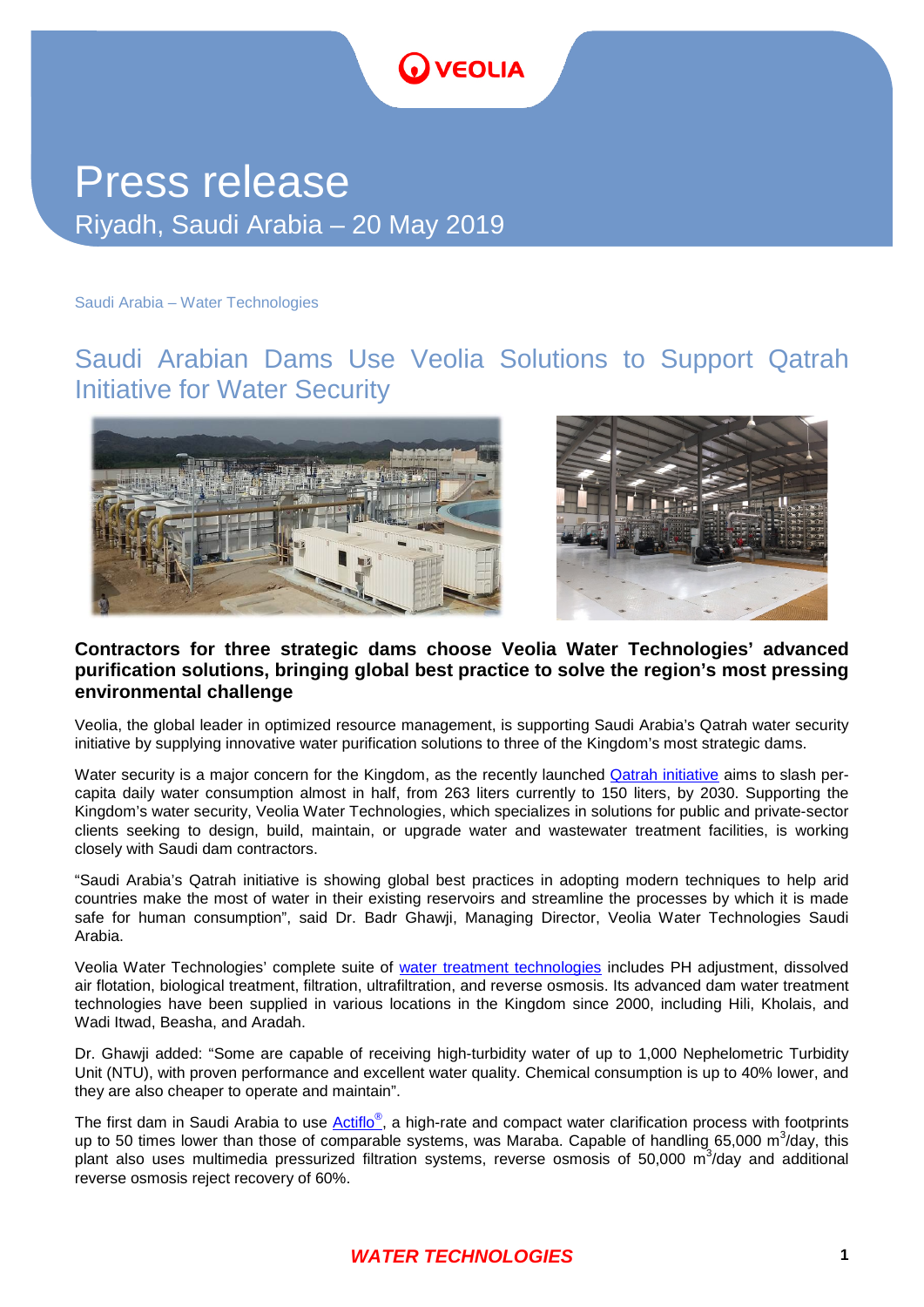# **OVEOLIA**

## Press release Riyadh, Saudi Arabia – 20 May 2019

Saudi Arabia – Water Technologies

## Saudi Arabian Dams Use Veolia Solutions to Support Qatrah Initiative for Water Security



#### **Contractors for three strategic dams choose Veolia Water Technologies' advanced purification solutions, bringing global best practice to solve the region's most pressing environmental challenge**

Veolia, the global leader in optimized resource management, is supporting Saudi Arabia's Qatrah water security initiative by supplying innovative water purification solutions to three of the Kingdom's most strategic dams.

Water security is a major concern for the Kingdom, as the recently launched [Qatrah initiative](https://www.qatrah.com/water-in-ksa-national) aims to slash percapita daily water consumption almost in half, from 263 liters currently to 150 liters, by 2030. Supporting the Kingdom's water security, Veolia Water Technologies, which specializes in solutions for public and private-sector clients seeking to design, build, maintain, or upgrade water and wastewater treatment facilities, is working closely with Saudi dam contractors.

"Saudi Arabia's Qatrah initiative is showing global best practices in adopting modern techniques to help arid countries make the most of water in their existing reservoirs and streamline the processes by which it is made safe for human consumption", said Dr. Badr Ghawji, Managing Director, Veolia Water Technologies Saudi Arabia.

Veolia Water Technologies' complete suite of [water treatment technologies](http://technomaps.veoliawatertechnologies.com/en/technologies) includes PH adjustment, dissolved air flotation, biological treatment, filtration, ultrafiltration, and reverse osmosis. Its advanced dam water treatment technologies have been supplied in various locations in the Kingdom since 2000, including Hili, Kholais, and Wadi Itwad, Beasha, and Aradah.

Dr. Ghawji added: "Some are capable of receiving high-turbidity water of up to 1,000 [Nephelometric Turbidity](http://medical-dictionary.thefreedictionary.com/Nephelometric+Turbidity+Unit)  [Unit](http://medical-dictionary.thefreedictionary.com/Nephelometric+Turbidity+Unit) (NTU), with proven performance and excellent water quality. Chemical consumption is up to 40% lower, and they are also cheaper to operate and maintain".

The first dam in Saudi Arabia to use *Actiflo®*, a high-rate and compact water clarification process with footprints up to 50 times lower than those of comparable systems, was Maraba. Capable of handling 65,000 m<sup>3</sup>/day, this plant also uses multimedia pressurized filtration systems, reverse osmosis of 50,000  $\text{m}^3$ /day and additional reverse osmosis reject recovery of 60%.

### *WATER TECHNOLOGIES*